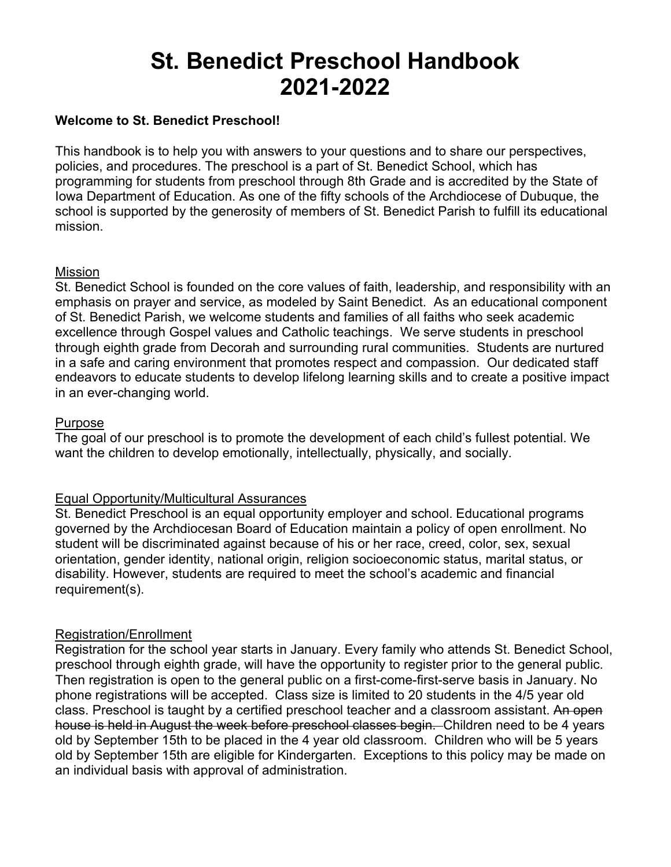# **St. Benedict Preschool Handbook 2021-2022**

## **Welcome to St. Benedict Preschool!**

This handbook is to help you with answers to your questions and to share our perspectives, policies, and procedures. The preschool is a part of St. Benedict School, which has programming for students from preschool through 8th Grade and is accredited by the State of Iowa Department of Education. As one of the fifty schools of the Archdiocese of Dubuque, the school is supported by the generosity of members of St. Benedict Parish to fulfill its educational mission.

### Mission

St. Benedict School is founded on the core values of faith, leadership, and responsibility with an emphasis on prayer and service, as modeled by Saint Benedict. As an educational component of St. Benedict Parish, we welcome students and families of all faiths who seek academic excellence through Gospel values and Catholic teachings. We serve students in preschool through eighth grade from Decorah and surrounding rural communities. Students are nurtured in a safe and caring environment that promotes respect and compassion. Our dedicated staff endeavors to educate students to develop lifelong learning skills and to create a positive impact in an ever-changing world.

### Purpose

The goal of our preschool is to promote the development of each child's fullest potential. We want the children to develop emotionally, intellectually, physically, and socially.

### Equal Opportunity/Multicultural Assurances

St. Benedict Preschool is an equal opportunity employer and school. Educational programs governed by the Archdiocesan Board of Education maintain a policy of open enrollment. No student will be discriminated against because of his or her race, creed, color, sex, sexual orientation, gender identity, national origin, religion socioeconomic status, marital status, or disability. However, students are required to meet the school's academic and financial requirement(s).

### Registration/Enrollment

Registration for the school year starts in January. Every family who attends St. Benedict School, preschool through eighth grade, will have the opportunity to register prior to the general public. Then registration is open to the general public on a first-come-first-serve basis in January. No phone registrations will be accepted. Class size is limited to 20 students in the 4/5 year old class. Preschool is taught by a certified preschool teacher and a classroom assistant. An open house is held in August the week before preschool classes begin. Children need to be 4 years old by September 15th to be placed in the 4 year old classroom. Children who will be 5 years old by September 15th are eligible for Kindergarten. Exceptions to this policy may be made on an individual basis with approval of administration.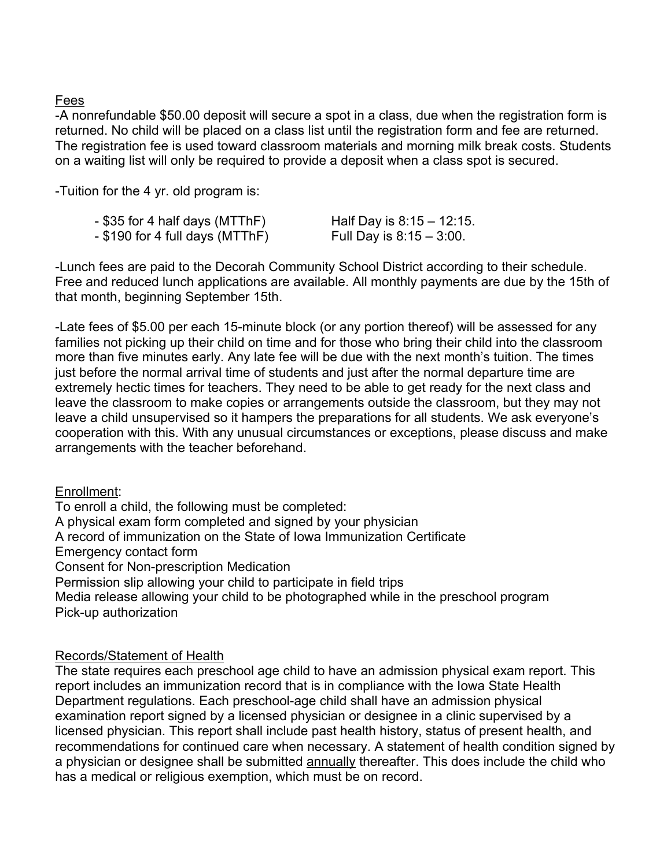# Fees

-A nonrefundable \$50.00 deposit will secure a spot in a class, due when the registration form is returned. No child will be placed on a class list until the registration form and fee are returned. The registration fee is used toward classroom materials and morning milk break costs. Students on a waiting list will only be required to provide a deposit when a class spot is secured.

-Tuition for the 4 yr. old program is:

| - \$35 for 4 half days (MTThF)  | Half Day is 8:15 - 12:15. |
|---------------------------------|---------------------------|
| - \$190 for 4 full days (MTThF) | Full Day is 8:15 – 3:00.  |

-Lunch fees are paid to the Decorah Community School District according to their schedule. Free and reduced lunch applications are available. All monthly payments are due by the 15th of that month, beginning September 15th.

-Late fees of \$5.00 per each 15-minute block (or any portion thereof) will be assessed for any families not picking up their child on time and for those who bring their child into the classroom more than five minutes early. Any late fee will be due with the next month's tuition. The times just before the normal arrival time of students and just after the normal departure time are extremely hectic times for teachers. They need to be able to get ready for the next class and leave the classroom to make copies or arrangements outside the classroom, but they may not leave a child unsupervised so it hampers the preparations for all students. We ask everyone's cooperation with this. With any unusual circumstances or exceptions, please discuss and make arrangements with the teacher beforehand.

### Enrollment:

To enroll a child, the following must be completed:

A physical exam form completed and signed by your physician

A record of immunization on the State of Iowa Immunization Certificate

Emergency contact form

Consent for Non-prescription Medication

Permission slip allowing your child to participate in field trips

Media release allowing your child to be photographed while in the preschool program Pick-up authorization

# Records/Statement of Health

The state requires each preschool age child to have an admission physical exam report. This report includes an immunization record that is in compliance with the Iowa State Health Department regulations. Each preschool-age child shall have an admission physical examination report signed by a licensed physician or designee in a clinic supervised by a licensed physician. This report shall include past health history, status of present health, and recommendations for continued care when necessary. A statement of health condition signed by a physician or designee shall be submitted annually thereafter. This does include the child who has a medical or religious exemption, which must be on record.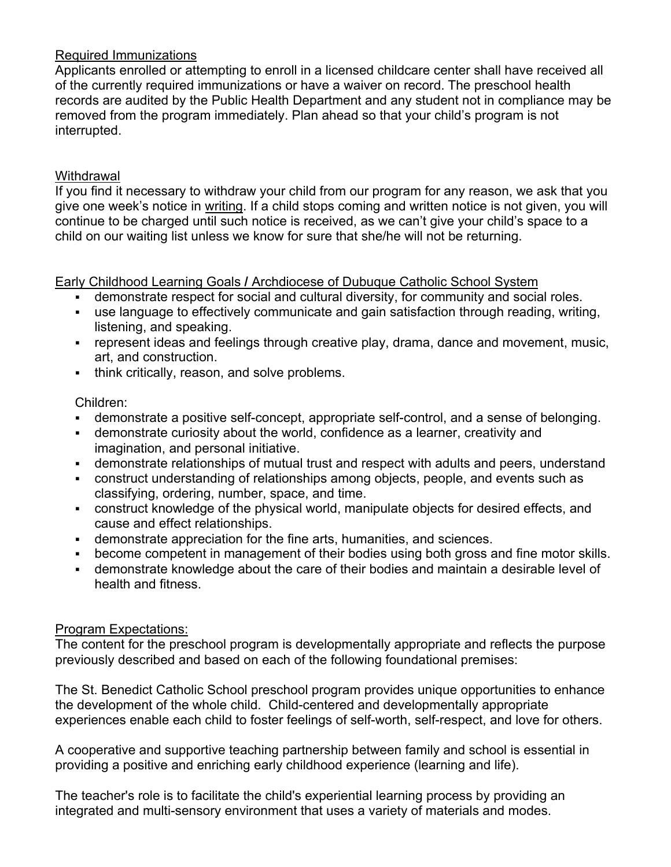# Required Immunizations

Applicants enrolled or attempting to enroll in a licensed childcare center shall have received all of the currently required immunizations or have a waiver on record. The preschool health records are audited by the Public Health Department and any student not in compliance may be removed from the program immediately. Plan ahead so that your child's program is not interrupted.

# **Withdrawal**

If you find it necessary to withdraw your child from our program for any reason, we ask that you give one week's notice in writing. If a child stops coming and written notice is not given, you will continue to be charged until such notice is received, as we can't give your child's space to a child on our waiting list unless we know for sure that she/he will not be returning.

### Early Childhood Learning Goals **/** Archdiocese of Dubuque Catholic School System

- demonstrate respect for social and cultural diversity, for community and social roles.
- § use language to effectively communicate and gain satisfaction through reading, writing, listening, and speaking.
- represent ideas and feelings through creative play, drama, dance and movement, music, art, and construction.
- think critically, reason, and solve problems.

### Children:

- demonstrate a positive self-concept, appropriate self-control, and a sense of belonging.
- § demonstrate curiosity about the world, confidence as a learner, creativity and imagination, and personal initiative.
- demonstrate relationships of mutual trust and respect with adults and peers, understand
- construct understanding of relationships among objects, people, and events such as classifying, ordering, number, space, and time.
- construct knowledge of the physical world, manipulate objects for desired effects, and cause and effect relationships.
- demonstrate appreciation for the fine arts, humanities, and sciences.
- become competent in management of their bodies using both gross and fine motor skills.
- demonstrate knowledge about the care of their bodies and maintain a desirable level of health and fitness.

# Program Expectations:

The content for the preschool program is developmentally appropriate and reflects the purpose previously described and based on each of the following foundational premises:

The St. Benedict Catholic School preschool program provides unique opportunities to enhance the development of the whole child. Child-centered and developmentally appropriate experiences enable each child to foster feelings of self-worth, self-respect, and love for others.

A cooperative and supportive teaching partnership between family and school is essential in providing a positive and enriching early childhood experience (learning and life).

The teacher's role is to facilitate the child's experiential learning process by providing an integrated and multi-sensory environment that uses a variety of materials and modes.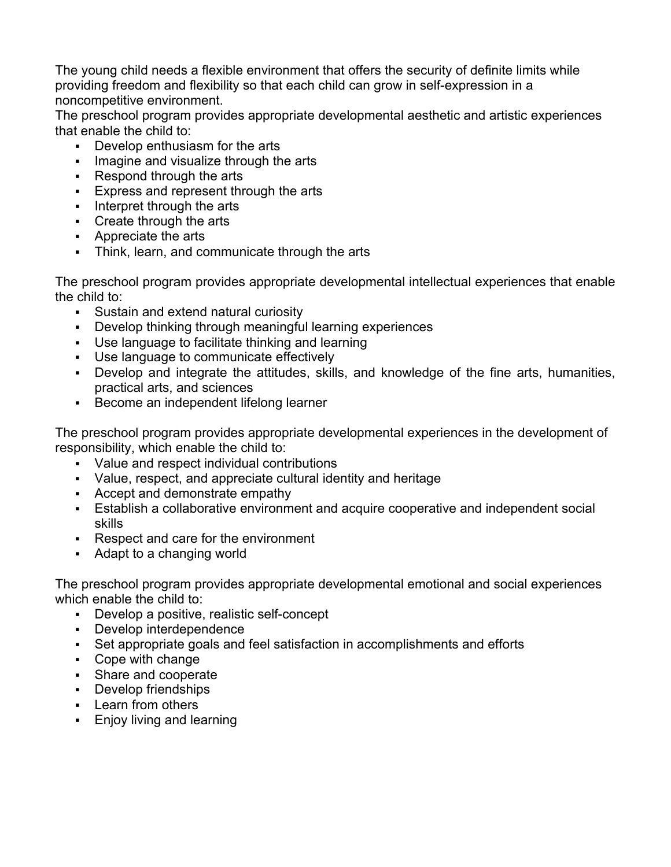The young child needs a flexible environment that offers the security of definite limits while providing freedom and flexibility so that each child can grow in self-expression in a noncompetitive environment.

The preschool program provides appropriate developmental aesthetic and artistic experiences that enable the child to:

- Develop enthusiasm for the arts
- Imagine and visualize through the arts
- § Respond through the arts
- Express and represent through the arts
- Interpret through the arts
- Create through the arts
- Appreciate the arts
- Think, learn, and communicate through the arts

The preschool program provides appropriate developmental intellectual experiences that enable the child to:

- Sustain and extend natural curiosity
- Develop thinking through meaningful learning experiences
- § Use language to facilitate thinking and learning
- § Use language to communicate effectively
- Develop and integrate the attitudes, skills, and knowledge of the fine arts, humanities, practical arts, and sciences
- Become an independent lifelong learner

The preschool program provides appropriate developmental experiences in the development of responsibility, which enable the child to:

- Value and respect individual contributions
- Value, respect, and appreciate cultural identity and heritage
- Accept and demonstrate empathy
- **Establish a collaborative environment and acquire cooperative and independent social** skills
- § Respect and care for the environment
- Adapt to a changing world

The preschool program provides appropriate developmental emotional and social experiences which enable the child to:

- § Develop a positive, realistic self-concept
- Develop interdependence
- Set appropriate goals and feel satisfaction in accomplishments and efforts
- Cope with change
- Share and cooperate
- § Develop friendships
- § Learn from others
- Enjoy living and learning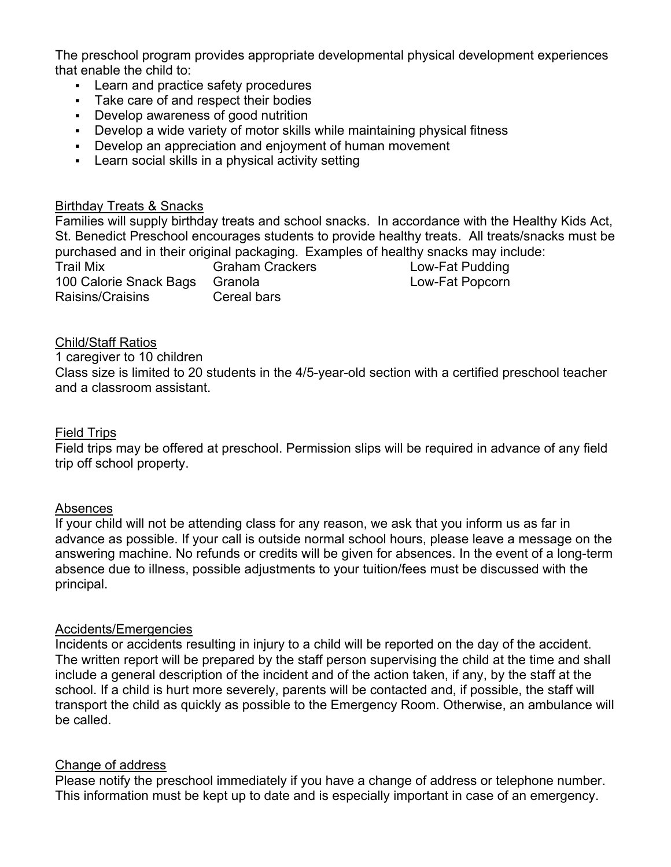The preschool program provides appropriate developmental physical development experiences that enable the child to:

- § Learn and practice safety procedures
- Take care of and respect their bodies
- Develop awareness of good nutrition
- Develop a wide variety of motor skills while maintaining physical fitness
- Develop an appreciation and enjoyment of human movement
- Learn social skills in a physical activity setting

### Birthday Treats & Snacks

Families will supply birthday treats and school snacks. In accordance with the Healthy Kids Act, St. Benedict Preschool encourages students to provide healthy treats. All treats/snacks must be purchased and in their original packaging. Examples of healthy snacks may include: Trail Mix Graham Crackers Cow-Fat Pudding 100 Calorie Snack Bags Granola Low-Fat Popcorn Raisins/Craisins Cereal bars

### Child/Staff Ratios

1 caregiver to 10 children Class size is limited to 20 students in the 4/5-year-old section with a certified preschool teacher and a classroom assistant.

#### Field Trips

Field trips may be offered at preschool. Permission slips will be required in advance of any field trip off school property.

#### Absences

If your child will not be attending class for any reason, we ask that you inform us as far in advance as possible. If your call is outside normal school hours, please leave a message on the answering machine. No refunds or credits will be given for absences. In the event of a long-term absence due to illness, possible adjustments to your tuition/fees must be discussed with the principal.

#### Accidents/Emergencies

Incidents or accidents resulting in injury to a child will be reported on the day of the accident. The written report will be prepared by the staff person supervising the child at the time and shall include a general description of the incident and of the action taken, if any, by the staff at the school. If a child is hurt more severely, parents will be contacted and, if possible, the staff will transport the child as quickly as possible to the Emergency Room. Otherwise, an ambulance will be called.

#### Change of address

Please notify the preschool immediately if you have a change of address or telephone number. This information must be kept up to date and is especially important in case of an emergency.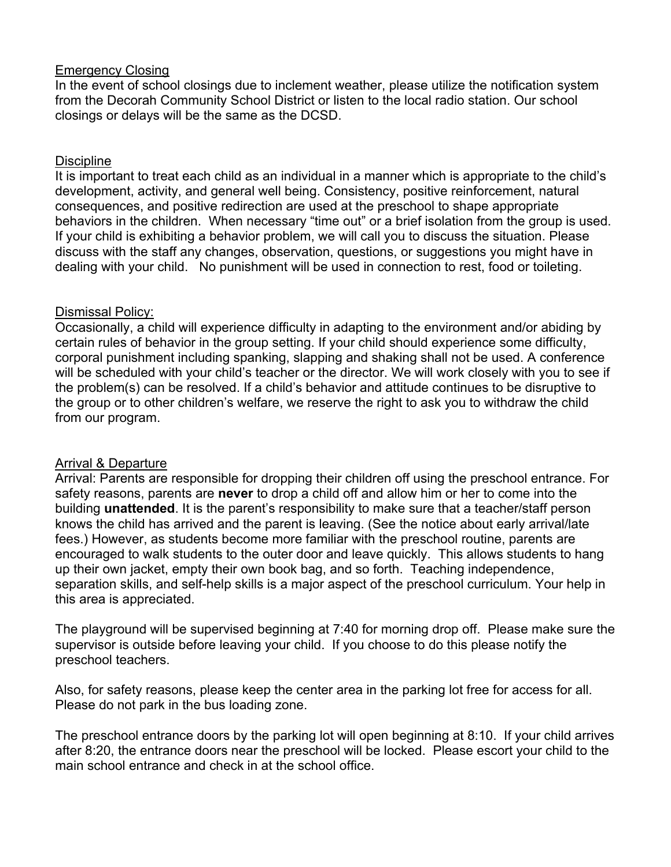### Emergency Closing

In the event of school closings due to inclement weather, please utilize the notification system from the Decorah Community School District or listen to the local radio station. Our school closings or delays will be the same as the DCSD.

## Discipline

It is important to treat each child as an individual in a manner which is appropriate to the child's development, activity, and general well being. Consistency, positive reinforcement, natural consequences, and positive redirection are used at the preschool to shape appropriate behaviors in the children. When necessary "time out" or a brief isolation from the group is used. If your child is exhibiting a behavior problem, we will call you to discuss the situation. Please discuss with the staff any changes, observation, questions, or suggestions you might have in dealing with your child. No punishment will be used in connection to rest, food or toileting.

### Dismissal Policy:

Occasionally, a child will experience difficulty in adapting to the environment and/or abiding by certain rules of behavior in the group setting. If your child should experience some difficulty, corporal punishment including spanking, slapping and shaking shall not be used. A conference will be scheduled with your child's teacher or the director. We will work closely with you to see if the problem(s) can be resolved. If a child's behavior and attitude continues to be disruptive to the group or to other children's welfare, we reserve the right to ask you to withdraw the child from our program.

### Arrival & Departure

Arrival: Parents are responsible for dropping their children off using the preschool entrance. For safety reasons, parents are **never** to drop a child off and allow him or her to come into the building **unattended**. It is the parent's responsibility to make sure that a teacher/staff person knows the child has arrived and the parent is leaving. (See the notice about early arrival/late fees.) However, as students become more familiar with the preschool routine, parents are encouraged to walk students to the outer door and leave quickly. This allows students to hang up their own jacket, empty their own book bag, and so forth. Teaching independence, separation skills, and self-help skills is a major aspect of the preschool curriculum. Your help in this area is appreciated.

The playground will be supervised beginning at 7:40 for morning drop off. Please make sure the supervisor is outside before leaving your child. If you choose to do this please notify the preschool teachers.

Also, for safety reasons, please keep the center area in the parking lot free for access for all. Please do not park in the bus loading zone.

The preschool entrance doors by the parking lot will open beginning at 8:10. If your child arrives after 8:20, the entrance doors near the preschool will be locked. Please escort your child to the main school entrance and check in at the school office.